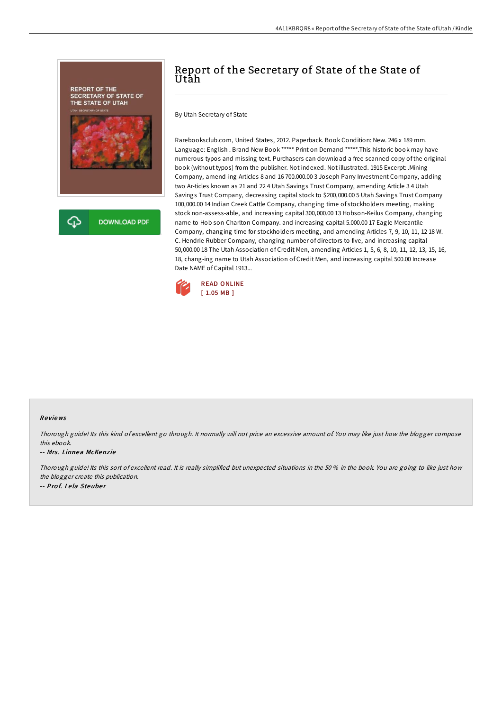

## Report of the Secretary of State of the State of Utah

By Utah Secretary of State

Rarebooksclub.com, United States, 2012. Paperback. Book Condition: New. 246 x 189 mm. Language: English . Brand New Book \*\*\*\*\* Print on Demand \*\*\*\*\*.This historic book may have numerous typos and missing text. Purchasers can download a free scanned copy of the original book (without typos) from the publisher. Not indexed. Not illustrated. 1915 Excerpt: .Mining Company, amend-ing Articles 8 and 16 700.000.00 3 Joseph Parry Investment Company, adding two Ar-ticles known as 21 and 22 4 Utah Savings Trust Company, amending Article 3 4 Utah Savings Trust Company, decreasing capital stock to \$200,000.00 5 Utah Savings Trust Company 100,000.00 14 Indian Creek Cattle Company, changing time of stockholders meeting, making stock non-assess-able, and increasing capital 300,000.00 13 Hobson-Keilus Company, changing name to Hob son-Charlton Company. and increasing capital 5.000.00 17 Eagle Mercantile Company, changing time for stockholders meeting, and amending Articles 7, 9, 10, 11, 12 18 W. C. Hendrie Rubber Company, changing number of directors to five, and increasing capital 50,000.00 18 The Utah Association of Credit Men, amending Articles 1, 5, 6, 8, 10, 11, 12, 13, 15, 16, 18, chang-ing name to Utah Association of Credit Men, and increasing capital 500.00 Increase Date NAME of Capital 1913...



## Re views

Thorough guide! Its this kind of excellent go through. It normally will not price an excessive amount of. You may like just how the blogger compose this ebook.

## -- Mrs. Linnea McKenzie

Thorough guide! Its this sort of excellent read. It is really simplified but unexpected situations in the 50 % in the book. You are going to like just how the blogger create this publication. -- Prof. Lela Steuber